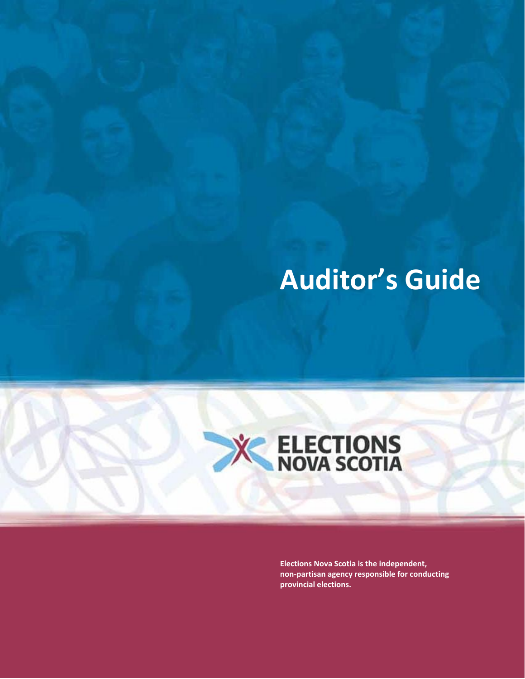# **Auditor's Guide**



**Elections Nova Scotia is the independent, non-partisan agency responsible for conducting provincial elections.**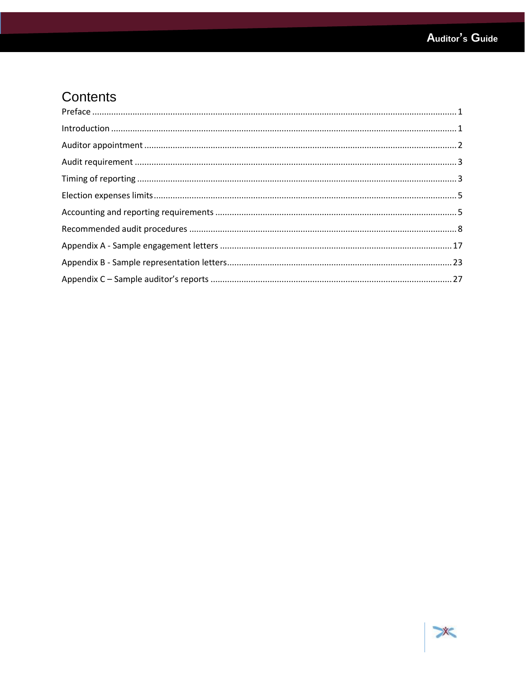### Contents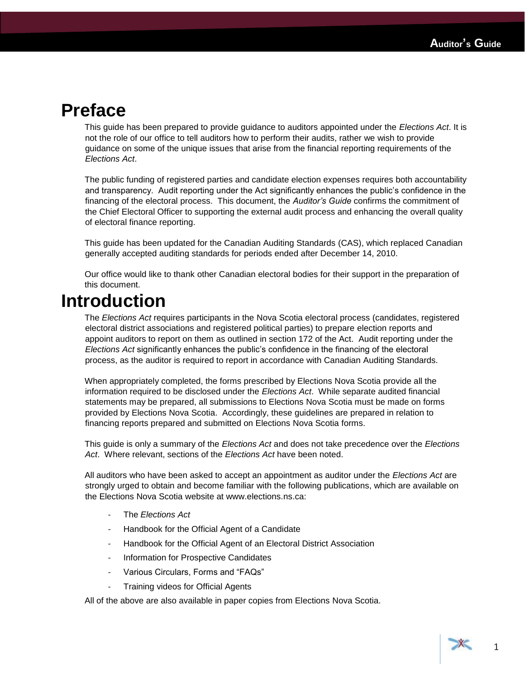### <span id="page-2-0"></span>**Preface**

This guide has been prepared to provide guidance to auditors appointed under the *Elections Act*. It is not the role of our office to tell auditors how to perform their audits, rather we wish to provide guidance on some of the unique issues that arise from the financial reporting requirements of the *Elections Act*.

The public funding of registered parties and candidate election expenses requires both accountability and transparency. Audit reporting under the Act significantly enhances the public's confidence in the financing of the electoral process. This document, the *Auditor's Guide* confirms the commitment of the Chief Electoral Officer to supporting the external audit process and enhancing the overall quality of electoral finance reporting.

This guide has been updated for the Canadian Auditing Standards (CAS), which replaced Canadian generally accepted auditing standards for periods ended after December 14, 2010.

Our office would like to thank other Canadian electoral bodies for their support in the preparation of this document.

### <span id="page-2-1"></span>**Introduction**

The *Elections Act* requires participants in the Nova Scotia electoral process (candidates, registered electoral district associations and registered political parties) to prepare election reports and appoint auditors to report on them as outlined in section 172 of the Act. Audit reporting under the *Elections Act* significantly enhances the public's confidence in the financing of the electoral process, as the auditor is required to report in accordance with Canadian Auditing Standards.

When appropriately completed, the forms prescribed by Elections Nova Scotia provide all the information required to be disclosed under the *Elections Act*. While separate audited financial statements may be prepared, all submissions to Elections Nova Scotia must be made on forms provided by Elections Nova Scotia. Accordingly, these guidelines are prepared in relation to financing reports prepared and submitted on Elections Nova Scotia forms.

This guide is only a summary of the *Elections Act* and does not take precedence over the *Elections Act*. Where relevant, sections of the *Elections Act* have been noted.

All auditors who have been asked to accept an appointment as auditor under the *Elections Act* are strongly urged to obtain and become familiar with the following publications, which are available on the Elections Nova Scotia website at www.elections.ns.ca:

- The *Elections Act*
- Handbook for the Official Agent of a Candidate
- Handbook for the Official Agent of an Electoral District Association
- Information for Prospective Candidates
- Various Circulars, Forms and "FAQs"
- Training videos for Official Agents

All of the above are also available in paper copies from Elections Nova Scotia.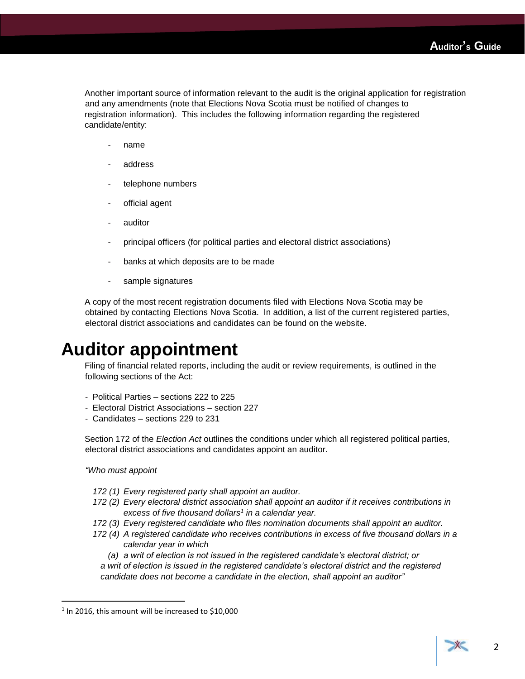Another important source of information relevant to the audit is the original application for registration and any amendments (note that Elections Nova Scotia must be notified of changes to registration information). This includes the following information regarding the registered candidate/entity:

- name
- address
- telephone numbers
- official agent
- auditor
- principal officers (for political parties and electoral district associations)
- banks at which deposits are to be made
- sample signatures

A copy of the most recent registration documents filed with Elections Nova Scotia may be obtained by contacting Elections Nova Scotia. In addition, a list of the current registered parties, electoral district associations and candidates can be found on the website.

### <span id="page-3-0"></span>**Auditor appointment**

Filing of financial related reports, including the audit or review requirements, is outlined in the following sections of the Act:

- Political Parties sections 222 to 225
- Electoral District Associations section 227
- Candidates sections 229 to 231

Section 172 of the *Election Act* outlines the conditions under which all registered political parties, electoral district associations and candidates appoint an auditor.

### *"Who must appoint*

 $\overline{\phantom{a}}$ 

- *172 (1) Every registered party shall appoint an auditor.*
- *172 (2) Every electoral district association shall appoint an auditor if it receives contributions in excess of five thousand dollars<sup>1</sup> in a calendar year.*
- *172 (3) Every registered candidate who files nomination documents shall appoint an auditor.*
- *172 (4) A registered candidate who receives contributions in excess of five thousand dollars in a calendar year in which*
	- *(a) a writ of election is not issued in the registered candidate's electoral district; or*

*a writ of election is issued in the registered candidate's electoral district and the registered candidate does not become a candidate in the election, shall appoint an auditor"*

 $1$  In 2016, this amount will be increased to \$10,000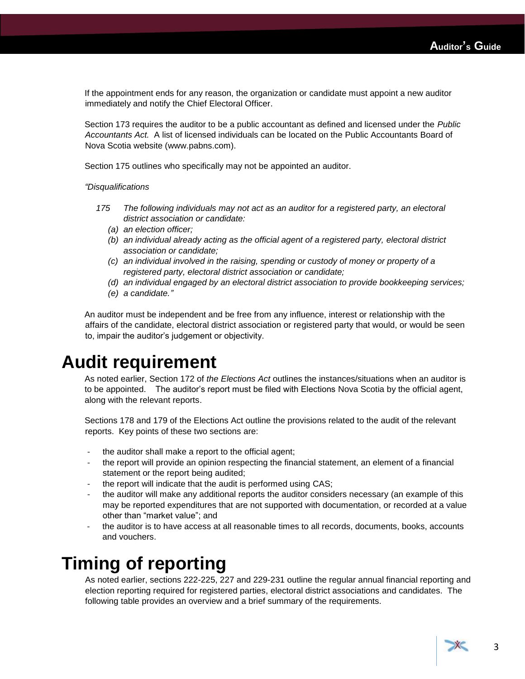If the appointment ends for any reason, the organization or candidate must appoint a new auditor immediately and notify the Chief Electoral Officer.

Section 173 requires the auditor to be a public accountant as defined and licensed under the *Public Accountants Act.* A list of licensed individuals can be located on the Public Accountants Board of Nova Scotia website (www.pabns.com).

Section 175 outlines who specifically may not be appointed an auditor.

*"Disqualifications*

- *175 The following individuals may not act as an auditor for a registered party, an electoral district association or candidate:*
	- *(a) an election officer;*
	- *(b) an individual already acting as the official agent of a registered party, electoral district association or candidate;*
	- *(c) an individual involved in the raising, spending or custody of money or property of a registered party, electoral district association or candidate;*
	- *(d) an individual engaged by an electoral district association to provide bookkeeping services;*
	- *(e) a candidate."*

An auditor must be independent and be free from any influence, interest or relationship with the affairs of the candidate, electoral district association or registered party that would, or would be seen to, impair the auditor's judgement or objectivity.

### <span id="page-4-0"></span>**Audit requirement**

As noted earlier, Section 172 of *the Elections Act* outlines the instances/situations when an auditor is to be appointed. The auditor's report must be filed with Elections Nova Scotia by the official agent, along with the relevant reports.

Sections 178 and 179 of the Elections Act outline the provisions related to the audit of the relevant reports. Key points of these two sections are:

- the auditor shall make a report to the official agent;
- the report will provide an opinion respecting the financial statement, an element of a financial statement or the report being audited;
- the report will indicate that the audit is performed using CAS;
- the auditor will make any additional reports the auditor considers necessary (an example of this may be reported expenditures that are not supported with documentation, or recorded at a value other than "market value"; and
- the auditor is to have access at all reasonable times to all records, documents, books, accounts and vouchers.

### <span id="page-4-1"></span>**Timing of reporting**

As noted earlier, sections 222-225, 227 and 229-231 outline the regular annual financial reporting and election reporting required for registered parties, electoral district associations and candidates. The following table provides an overview and a brief summary of the requirements.

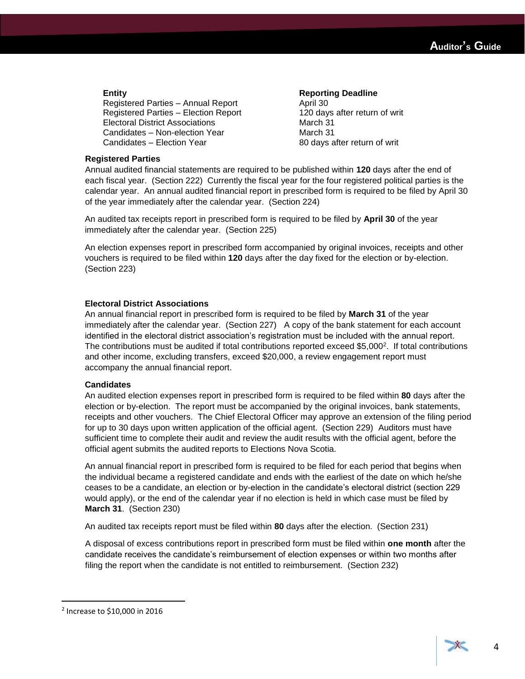Registered Parties – Annual Report April 30 Registered Parties – Election Report 120 days after return of writ Electoral District Associations March 31 Candidates – Non-election Year March 31 Candidates – Election Year 80 days after return of writ

### **Entity Reporting Deadline**

### **Registered Parties**

Annual audited financial statements are required to be published within **120** days after the end of each fiscal year. (Section 222) Currently the fiscal year for the four registered political parties is the calendar year. An annual audited financial report in prescribed form is required to be filed by April 30 of the year immediately after the calendar year. (Section 224)

An audited tax receipts report in prescribed form is required to be filed by **April 30** of the year immediately after the calendar year. (Section 225)

An election expenses report in prescribed form accompanied by original invoices, receipts and other vouchers is required to be filed within **120** days after the day fixed for the election or by-election. (Section 223)

### **Electoral District Associations**

An annual financial report in prescribed form is required to be filed by **March 31** of the year immediately after the calendar year. (Section 227) A copy of the bank statement for each account identified in the electoral district association's registration must be included with the annual report. The contributions must be audited if total contributions reported exceed \$5,000<sup>2</sup>. If total contributions and other income, excluding transfers, exceed \$20,000, a review engagement report must accompany the annual financial report.

### **Candidates**

An audited election expenses report in prescribed form is required to be filed within **80** days after the election or by-election. The report must be accompanied by the original invoices, bank statements, receipts and other vouchers. The Chief Electoral Officer may approve an extension of the filing period for up to 30 days upon written application of the official agent. (Section 229) Auditors must have sufficient time to complete their audit and review the audit results with the official agent, before the official agent submits the audited reports to Elections Nova Scotia.

An annual financial report in prescribed form is required to be filed for each period that begins when the individual became a registered candidate and ends with the earliest of the date on which he/she ceases to be a candidate, an election or by-election in the candidate's electoral district (section 229 would apply), or the end of the calendar year if no election is held in which case must be filed by **March 31**. (Section 230)

An audited tax receipts report must be filed within **80** days after the election. (Section 231)

A disposal of excess contributions report in prescribed form must be filed within **one month** after the candidate receives the candidate's reimbursement of election expenses or within two months after filing the report when the candidate is not entitled to reimbursement. (Section 232)

 $\overline{\phantom{a}}$ 

<sup>2</sup> Increase to \$10,000 in 2016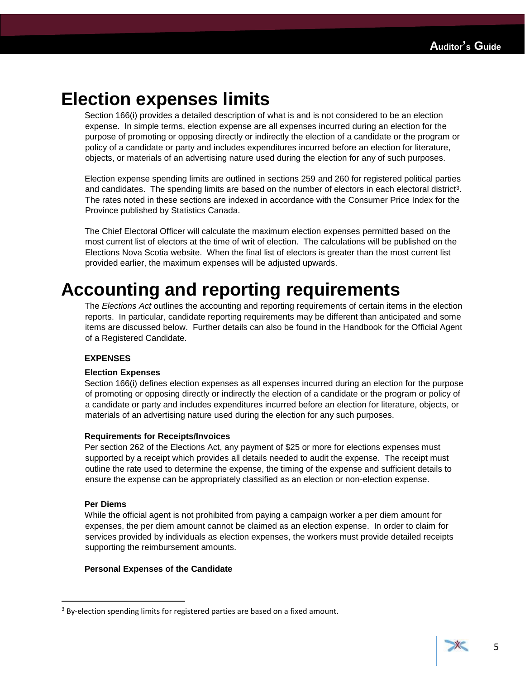### <span id="page-6-0"></span>**Election expenses limits**

Section 166(i) provides a detailed description of what is and is not considered to be an election expense. In simple terms, election expense are all expenses incurred during an election for the purpose of promoting or opposing directly or indirectly the election of a candidate or the program or policy of a candidate or party and includes expenditures incurred before an election for literature, objects, or materials of an advertising nature used during the election for any of such purposes.

Election expense spending limits are outlined in sections 259 and 260 for registered political parties and candidates. The spending limits are based on the number of electors in each electoral district<sup>3</sup>. The rates noted in these sections are indexed in accordance with the Consumer Price Index for the Province published by Statistics Canada.

The Chief Electoral Officer will calculate the maximum election expenses permitted based on the most current list of electors at the time of writ of election. The calculations will be published on the Elections Nova Scotia website. When the final list of electors is greater than the most current list provided earlier, the maximum expenses will be adjusted upwards.

## <span id="page-6-1"></span>**Accounting and reporting requirements**

The *Elections Act* outlines the accounting and reporting requirements of certain items in the election reports. In particular, candidate reporting requirements may be different than anticipated and some items are discussed below. Further details can also be found in the Handbook for the Official Agent of a Registered Candidate.

### **EXPENSES**

### **Election Expenses**

Section 166(i) defines election expenses as all expenses incurred during an election for the purpose of promoting or opposing directly or indirectly the election of a candidate or the program or policy of a candidate or party and includes expenditures incurred before an election for literature, objects, or materials of an advertising nature used during the election for any such purposes.

### **Requirements for Receipts/Invoices**

Per section 262 of the Elections Act, any payment of \$25 or more for elections expenses must supported by a receipt which provides all details needed to audit the expense. The receipt must outline the rate used to determine the expense, the timing of the expense and sufficient details to ensure the expense can be appropriately classified as an election or non-election expense.

### **Per Diems**

 $\overline{\phantom{a}}$ 

While the official agent is not prohibited from paying a campaign worker a per diem amount for expenses, the per diem amount cannot be claimed as an election expense. In order to claim for services provided by individuals as election expenses, the workers must provide detailed receipts supporting the reimbursement amounts.

### **Personal Expenses of the Candidate**



 $3$  By-election spending limits for registered parties are based on a fixed amount.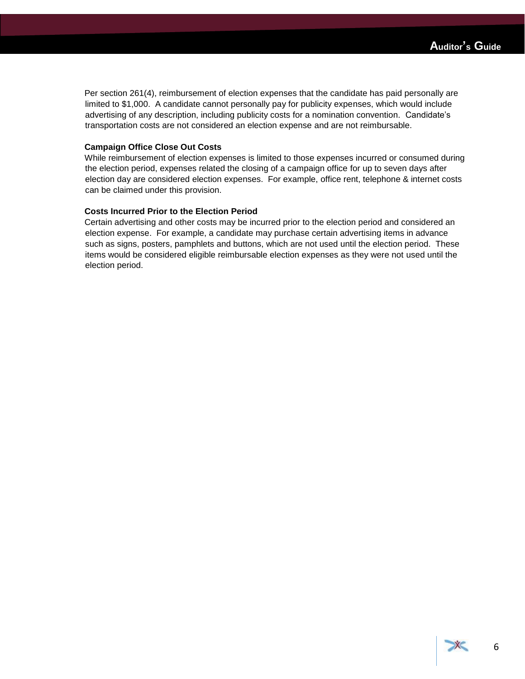Per section 261(4), reimbursement of election expenses that the candidate has paid personally are limited to \$1,000. A candidate cannot personally pay for publicity expenses, which would include advertising of any description, including publicity costs for a nomination convention. Candidate's transportation costs are not considered an election expense and are not reimbursable.

### **Campaign Office Close Out Costs**

While reimbursement of election expenses is limited to those expenses incurred or consumed during the election period, expenses related the closing of a campaign office for up to seven days after election day are considered election expenses. For example, office rent, telephone & internet costs can be claimed under this provision.

### **Costs Incurred Prior to the Election Period**

Certain advertising and other costs may be incurred prior to the election period and considered an election expense. For example, a candidate may purchase certain advertising items in advance such as signs, posters, pamphlets and buttons, which are not used until the election period. These items would be considered eligible reimbursable election expenses as they were not used until the election period.

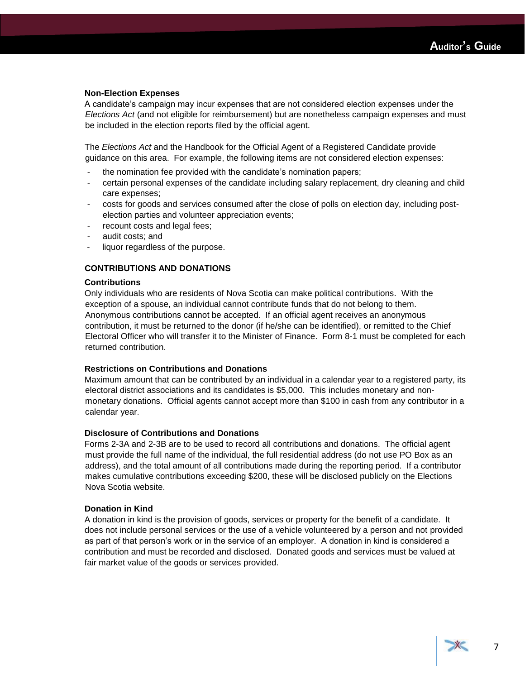### **Non-Election Expenses**

A candidate's campaign may incur expenses that are not considered election expenses under the *Elections Act* (and not eligible for reimbursement) but are nonetheless campaign expenses and must be included in the election reports filed by the official agent.

The *Elections Act* and the Handbook for the Official Agent of a Registered Candidate provide guidance on this area. For example, the following items are not considered election expenses:

- the nomination fee provided with the candidate's nomination papers;
- certain personal expenses of the candidate including salary replacement, dry cleaning and child care expenses;
- costs for goods and services consumed after the close of polls on election day, including postelection parties and volunteer appreciation events;
- recount costs and legal fees;
- audit costs; and
- liquor regardless of the purpose.

### **CONTRIBUTIONS AND DONATIONS**

### **Contributions**

Only individuals who are residents of Nova Scotia can make political contributions. With the exception of a spouse, an individual cannot contribute funds that do not belong to them. Anonymous contributions cannot be accepted. If an official agent receives an anonymous contribution, it must be returned to the donor (if he/she can be identified), or remitted to the Chief Electoral Officer who will transfer it to the Minister of Finance. Form 8-1 must be completed for each returned contribution.

### **Restrictions on Contributions and Donations**

Maximum amount that can be contributed by an individual in a calendar year to a registered party, its electoral district associations and its candidates is \$5,000. This includes monetary and nonmonetary donations. Official agents cannot accept more than \$100 in cash from any contributor in a calendar year.

### **Disclosure of Contributions and Donations**

Forms 2-3A and 2-3B are to be used to record all contributions and donations. The official agent must provide the full name of the individual, the full residential address (do not use PO Box as an address), and the total amount of all contributions made during the reporting period. If a contributor makes cumulative contributions exceeding \$200, these will be disclosed publicly on the Elections Nova Scotia website.

### **Donation in Kind**

A donation in kind is the provision of goods, services or property for the benefit of a candidate. It does not include personal services or the use of a vehicle volunteered by a person and not provided as part of that person's work or in the service of an employer. A donation in kind is considered a contribution and must be recorded and disclosed. Donated goods and services must be valued at fair market value of the goods or services provided.

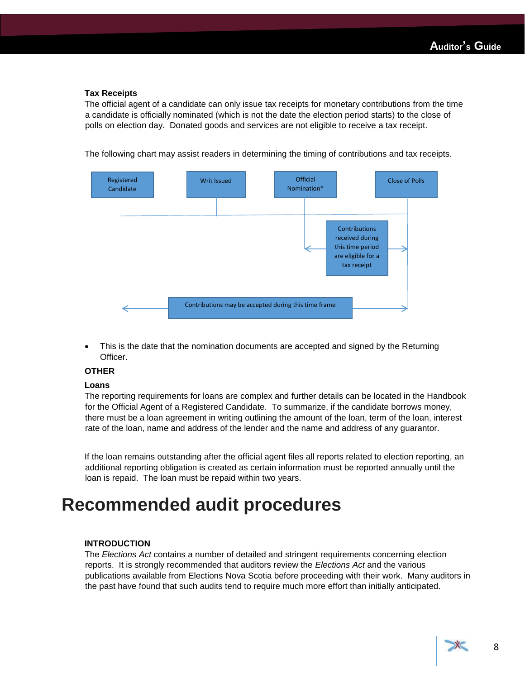### **Tax Receipts**

The official agent of a candidate can only issue tax receipts for monetary contributions from the time a candidate is officially nominated (which is not the date the election period starts) to the close of polls on election day. Donated goods and services are not eligible to receive a tax receipt.



The following chart may assist readers in determining the timing of contributions and tax receipts.

 This is the date that the nomination documents are accepted and signed by the Returning Officer.

### **OTHER**

#### **Loans**

The reporting requirements for loans are complex and further details can be located in the Handbook for the Official Agent of a Registered Candidate. To summarize, if the candidate borrows money, there must be a loan agreement in writing outlining the amount of the loan, term of the loan, interest rate of the loan, name and address of the lender and the name and address of any guarantor.

If the loan remains outstanding after the official agent files all reports related to election reporting, an additional reporting obligation is created as certain information must be reported annually until the loan is repaid. The loan must be repaid within two years.

### <span id="page-9-0"></span>**Recommended audit procedures**

### **INTRODUCTION**

The *Elections Act* contains a number of detailed and stringent requirements concerning election reports. It is strongly recommended that auditors review the *Elections Act* and the various publications available from Elections Nova Scotia before proceeding with their work. Many auditors in the past have found that such audits tend to require much more effort than initially anticipated.

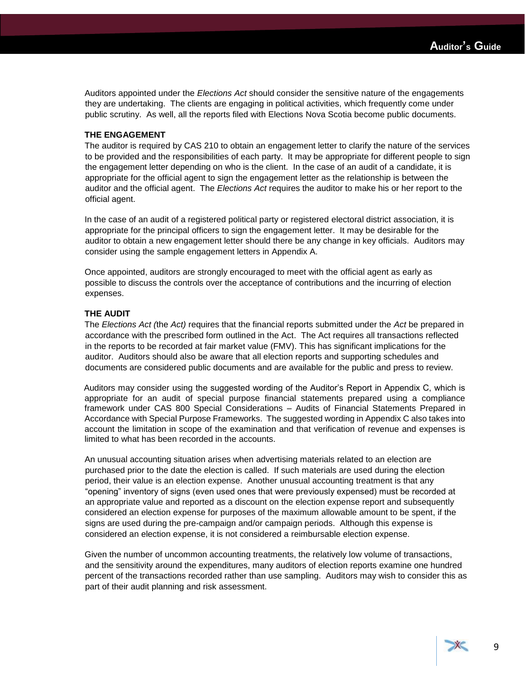Auditors appointed under the *Elections Act* should consider the sensitive nature of the engagements they are undertaking. The clients are engaging in political activities, which frequently come under public scrutiny. As well, all the reports filed with Elections Nova Scotia become public documents.

### **THE ENGAGEMENT**

The auditor is required by CAS 210 to obtain an engagement letter to clarify the nature of the services to be provided and the responsibilities of each party. It may be appropriate for different people to sign the engagement letter depending on who is the client. In the case of an audit of a candidate, it is appropriate for the official agent to sign the engagement letter as the relationship is between the auditor and the official agent. The *Elections Act* requires the auditor to make his or her report to the official agent.

In the case of an audit of a registered political party or registered electoral district association, it is appropriate for the principal officers to sign the engagement letter. It may be desirable for the auditor to obtain a new engagement letter should there be any change in key officials. Auditors may consider using the sample engagement letters in Appendix A.

Once appointed, auditors are strongly encouraged to meet with the official agent as early as possible to discuss the controls over the acceptance of contributions and the incurring of election expenses.

### **THE AUDIT**

The *Elections Act (*the *Act)* requires that the financial reports submitted under the *Act* be prepared in accordance with the prescribed form outlined in the Act. The Act requires all transactions reflected in the reports to be recorded at fair market value (FMV). This has significant implications for the auditor. Auditors should also be aware that all election reports and supporting schedules and documents are considered public documents and are available for the public and press to review.

Auditors may consider using the suggested wording of the Auditor's Report in Appendix C, which is appropriate for an audit of special purpose financial statements prepared using a compliance framework under CAS 800 Special Considerations – Audits of Financial Statements Prepared in Accordance with Special Purpose Frameworks. The suggested wording in Appendix C also takes into account the limitation in scope of the examination and that verification of revenue and expenses is limited to what has been recorded in the accounts.

An unusual accounting situation arises when advertising materials related to an election are purchased prior to the date the election is called. If such materials are used during the election period, their value is an election expense. Another unusual accounting treatment is that any "opening" inventory of signs (even used ones that were previously expensed) must be recorded at an appropriate value and reported as a discount on the election expense report and subsequently considered an election expense for purposes of the maximum allowable amount to be spent, if the signs are used during the pre-campaign and/or campaign periods. Although this expense is considered an election expense, it is not considered a reimbursable election expense.

Given the number of uncommon accounting treatments, the relatively low volume of transactions, and the sensitivity around the expenditures, many auditors of election reports examine one hundred percent of the transactions recorded rather than use sampling. Auditors may wish to consider this as part of their audit planning and risk assessment.

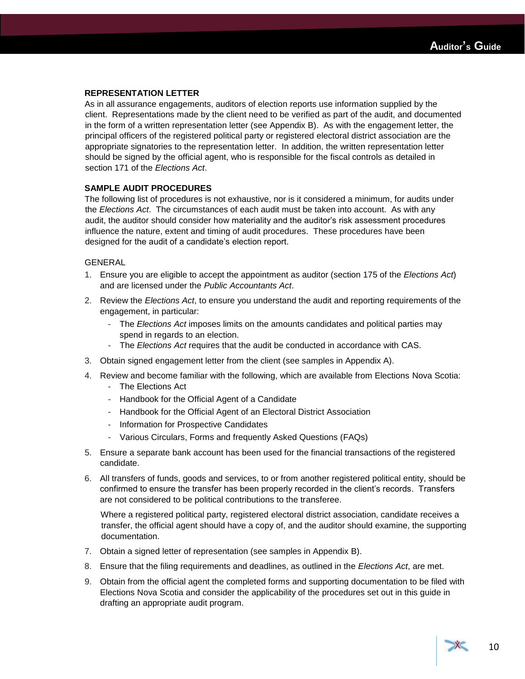### **REPRESENTATION LETTER**

As in all assurance engagements, auditors of election reports use information supplied by the client. Representations made by the client need to be verified as part of the audit, and documented in the form of a written representation letter (see Appendix B). As with the engagement letter, the principal officers of the registered political party or registered electoral district association are the appropriate signatories to the representation letter. In addition, the written representation letter should be signed by the official agent, who is responsible for the fiscal controls as detailed in section 171 of the *Elections Act*.

### **SAMPLE AUDIT PROCEDURES**

The following list of procedures is not exhaustive, nor is it considered a minimum, for audits under the *Elections Act*. The circumstances of each audit must be taken into account. As with any audit, the auditor should consider how materiality and the auditor's risk assessment procedures influence the nature, extent and timing of audit procedures. These procedures have been designed for the audit of a candidate's election report.

### GENERAL

- 1. Ensure you are eligible to accept the appointment as auditor (section 175 of the *Elections Act*) and are licensed under the *Public Accountants Act*.
- 2. Review the *Elections Act*, to ensure you understand the audit and reporting requirements of the engagement, in particular:
	- The *Elections Act* imposes limits on the amounts candidates and political parties may spend in regards to an election.
	- The *Elections Act* requires that the audit be conducted in accordance with CAS.
- 3. Obtain signed engagement letter from the client (see samples in Appendix A).
- 4. Review and become familiar with the following, which are available from Elections Nova Scotia:
	- The Elections Act
	- Handbook for the Official Agent of a Candidate
	- Handbook for the Official Agent of an Electoral District Association
	- Information for Prospective Candidates
	- Various Circulars, Forms and frequently Asked Questions (FAQs)
- 5. Ensure a separate bank account has been used for the financial transactions of the registered candidate.
- 6. All transfers of funds, goods and services, to or from another registered political entity, should be confirmed to ensure the transfer has been properly recorded in the client's records. Transfers are not considered to be political contributions to the transferee.

Where a registered political party, registered electoral district association, candidate receives a transfer, the official agent should have a copy of, and the auditor should examine, the supporting documentation.

- 7. Obtain a signed letter of representation (see samples in Appendix B).
- 8. Ensure that the filing requirements and deadlines, as outlined in the *Elections Act*, are met.
- 9. Obtain from the official agent the completed forms and supporting documentation to be filed with Elections Nova Scotia and consider the applicability of the procedures set out in this guide in drafting an appropriate audit program.

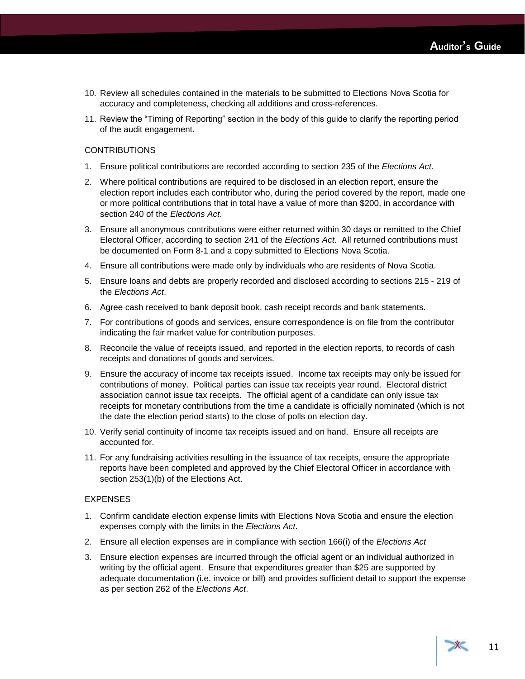- 10. Review all schedules contained in the materials to be submitted to Elections Nova Scotia for accuracy and completeness, checking all additions and cross-references.
- 11. Review the "Timing of Reporting" section in the body of this guide to clarify the reporting period of the audit engagement.

### **CONTRIBUTIONS**

- 1. Ensure political contributions are recorded according to section 235 of the *Elections Act*.
- 2. Where political contributions are required to be disclosed in an election report, ensure the election report includes each contributor who, during the period covered by the report, made one or more political contributions that in total have a value of more than \$200, in accordance with section 240 of the *Elections Act*.
- 3. Ensure all anonymous contributions were either returned within 30 days or remitted to the Chief Electoral Officer, according to section 241 of the *Elections Act*. All returned contributions must be documented on Form 8-1 and a copy submitted to Elections Nova Scotia.
- 4. Ensure all contributions were made only by individuals who are residents of Nova Scotia.
- 5. Ensure loans and debts are properly recorded and disclosed according to sections 215 219 of the *Elections Act*.
- 6. Agree cash received to bank deposit book, cash receipt records and bank statements.
- 7. For contributions of goods and services, ensure correspondence is on file from the contributor indicating the fair market value for contribution purposes.
- 8. Reconcile the value of receipts issued, and reported in the election reports, to records of cash receipts and donations of goods and services.
- 9. Ensure the accuracy of income tax receipts issued. Income tax receipts may only be issued for contributions of money. Political parties can issue tax receipts year round. Electoral district association cannot issue tax receipts. The official agent of a candidate can only issue tax receipts for monetary contributions from the time a candidate is officially nominated (which is not the date the election period starts) to the close of polls on election day.
- 10. Verify serial continuity of income tax receipts issued and on hand. Ensure all receipts are accounted for.
- 11. For any fundraising activities resulting in the issuance of tax receipts, ensure the appropriate reports have been completed and approved by the Chief Electoral Officer in accordance with section 253(1)(b) of the Elections Act.

### EXPENSES

- 1. Confirm candidate election expense limits with Elections Nova Scotia and ensure the election expenses comply with the limits in the *Elections Act*.
- 2. Ensure all election expenses are in compliance with section 166(i) of the *Elections Act*
- 3. Ensure election expenses are incurred through the official agent or an individual authorized in writing by the official agent. Ensure that expenditures greater than \$25 are supported by adequate documentation (i.e. invoice or bill) and provides sufficient detail to support the expense as per section 262 of the *Elections Act*.

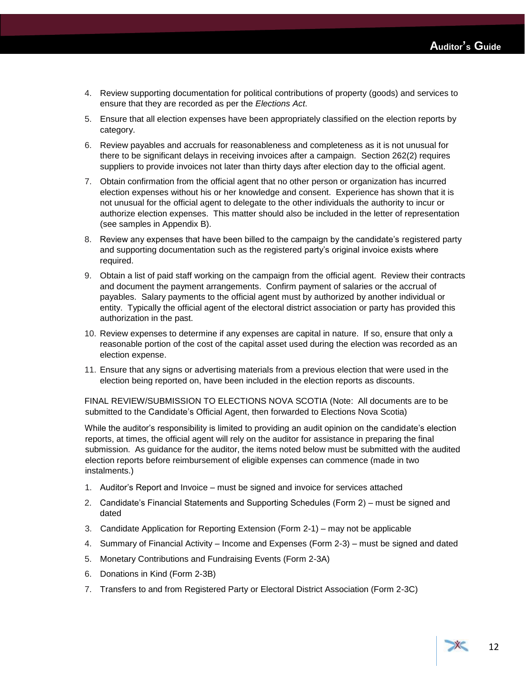- 4. Review supporting documentation for political contributions of property (goods) and services to ensure that they are recorded as per the *Elections Act*.
- 5. Ensure that all election expenses have been appropriately classified on the election reports by category.
- 6. Review payables and accruals for reasonableness and completeness as it is not unusual for there to be significant delays in receiving invoices after a campaign. Section 262(2) requires suppliers to provide invoices not later than thirty days after election day to the official agent.
- 7. Obtain confirmation from the official agent that no other person or organization has incurred election expenses without his or her knowledge and consent. Experience has shown that it is not unusual for the official agent to delegate to the other individuals the authority to incur or authorize election expenses. This matter should also be included in the letter of representation (see samples in Appendix B).
- 8. Review any expenses that have been billed to the campaign by the candidate's registered party and supporting documentation such as the registered party's original invoice exists where required.
- 9. Obtain a list of paid staff working on the campaign from the official agent. Review their contracts and document the payment arrangements. Confirm payment of salaries or the accrual of payables. Salary payments to the official agent must by authorized by another individual or entity. Typically the official agent of the electoral district association or party has provided this authorization in the past.
- 10. Review expenses to determine if any expenses are capital in nature. If so, ensure that only a reasonable portion of the cost of the capital asset used during the election was recorded as an election expense.
- 11. Ensure that any signs or advertising materials from a previous election that were used in the election being reported on, have been included in the election reports as discounts.

FINAL REVIEW/SUBMISSION TO ELECTIONS NOVA SCOTIA (Note: All documents are to be submitted to the Candidate's Official Agent, then forwarded to Elections Nova Scotia)

While the auditor's responsibility is limited to providing an audit opinion on the candidate's election reports, at times, the official agent will rely on the auditor for assistance in preparing the final submission. As guidance for the auditor, the items noted below must be submitted with the audited election reports before reimbursement of eligible expenses can commence (made in two instalments.)

- 1. Auditor's Report and Invoice must be signed and invoice for services attached
- 2. Candidate's Financial Statements and Supporting Schedules (Form 2) must be signed and dated
- 3. Candidate Application for Reporting Extension (Form 2-1) may not be applicable
- 4. Summary of Financial Activity Income and Expenses (Form 2-3) must be signed and dated
- 5. Monetary Contributions and Fundraising Events (Form 2-3A)
- 6. Donations in Kind (Form 2-3B)
- 7. Transfers to and from Registered Party or Electoral District Association (Form 2-3C)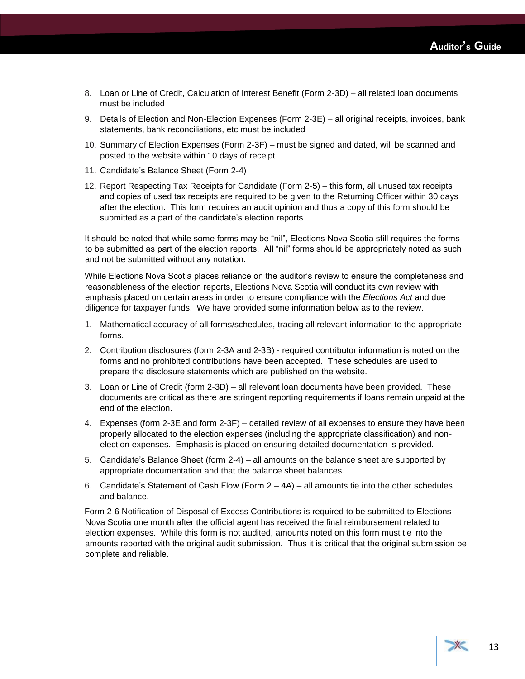- 8. Loan or Line of Credit, Calculation of Interest Benefit (Form 2-3D) all related loan documents must be included
- 9. Details of Election and Non-Election Expenses (Form 2-3E) all original receipts, invoices, bank statements, bank reconciliations, etc must be included
- 10. Summary of Election Expenses (Form 2-3F) must be signed and dated, will be scanned and posted to the website within 10 days of receipt
- 11. Candidate's Balance Sheet (Form 2-4)
- 12. Report Respecting Tax Receipts for Candidate (Form 2-5) this form, all unused tax receipts and copies of used tax receipts are required to be given to the Returning Officer within 30 days after the election. This form requires an audit opinion and thus a copy of this form should be submitted as a part of the candidate's election reports.

It should be noted that while some forms may be "nil", Elections Nova Scotia still requires the forms to be submitted as part of the election reports. All "nil" forms should be appropriately noted as such and not be submitted without any notation.

While Elections Nova Scotia places reliance on the auditor's review to ensure the completeness and reasonableness of the election reports, Elections Nova Scotia will conduct its own review with emphasis placed on certain areas in order to ensure compliance with the *Elections Act* and due diligence for taxpayer funds. We have provided some information below as to the review.

- 1. Mathematical accuracy of all forms/schedules, tracing all relevant information to the appropriate forms.
- 2. Contribution disclosures (form 2-3A and 2-3B) required contributor information is noted on the forms and no prohibited contributions have been accepted. These schedules are used to prepare the disclosure statements which are published on the website.
- 3. Loan or Line of Credit (form 2-3D) all relevant loan documents have been provided. These documents are critical as there are stringent reporting requirements if loans remain unpaid at the end of the election.
- 4. Expenses (form 2-3E and form 2-3F) detailed review of all expenses to ensure they have been properly allocated to the election expenses (including the appropriate classification) and nonelection expenses. Emphasis is placed on ensuring detailed documentation is provided.
- 5. Candidate's Balance Sheet (form 2-4) all amounts on the balance sheet are supported by appropriate documentation and that the balance sheet balances.
- 6. Candidate's Statement of Cash Flow (Form 2 4A) all amounts tie into the other schedules and balance.

Form 2-6 Notification of Disposal of Excess Contributions is required to be submitted to Elections Nova Scotia one month after the official agent has received the final reimbursement related to election expenses. While this form is not audited, amounts noted on this form must tie into the amounts reported with the original audit submission. Thus it is critical that the original submission be complete and reliable.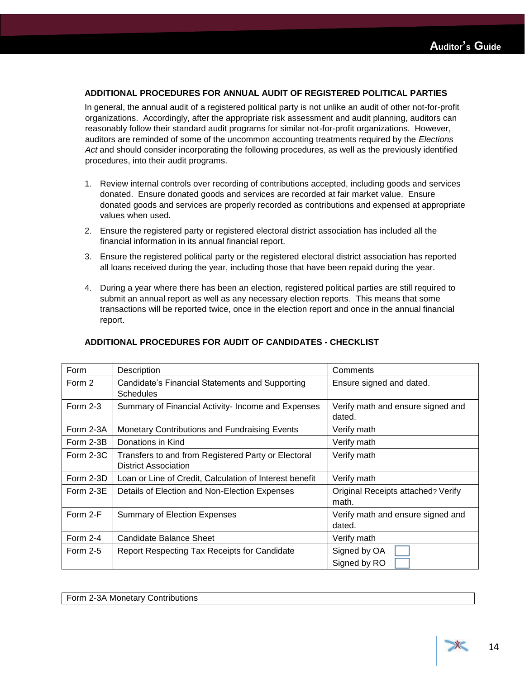### **ADDITIONAL PROCEDURES FOR ANNUAL AUDIT OF REGISTERED POLITICAL PARTIES**

In general, the annual audit of a registered political party is not unlike an audit of other not-for-profit organizations. Accordingly, after the appropriate risk assessment and audit planning, auditors can reasonably follow their standard audit programs for similar not-for-profit organizations. However, auditors are reminded of some of the uncommon accounting treatments required by the *Elections Act* and should consider incorporating the following procedures, as well as the previously identified procedures, into their audit programs.

- 1. Review internal controls over recording of contributions accepted, including goods and services donated. Ensure donated goods and services are recorded at fair market value. Ensure donated goods and services are properly recorded as contributions and expensed at appropriate values when used.
- 2. Ensure the registered party or registered electoral district association has included all the financial information in its annual financial report.
- 3. Ensure the registered political party or the registered electoral district association has reported all loans received during the year, including those that have been repaid during the year.
- 4. During a year where there has been an election, registered political parties are still required to submit an annual report as well as any necessary election reports. This means that some transactions will be reported twice, once in the election report and once in the annual financial report.

| Form        | Description                                                                        | Comments                                    |
|-------------|------------------------------------------------------------------------------------|---------------------------------------------|
| Form 2      | Candidate's Financial Statements and Supporting<br>Schedules                       | Ensure signed and dated.                    |
| Form 2-3    | Summary of Financial Activity- Income and Expenses                                 | Verify math and ensure signed and<br>dated. |
| Form 2-3A   | Monetary Contributions and Fundraising Events                                      | Verify math                                 |
| Form 2-3B   | Donations in Kind                                                                  | Verify math                                 |
| Form 2-3C   | Transfers to and from Registered Party or Electoral<br><b>District Association</b> | Verify math                                 |
| Form 2-3D   | Loan or Line of Credit, Calculation of Interest benefit                            | Verify math                                 |
| Form $2-3E$ | Details of Election and Non-Election Expenses                                      | Original Receipts attached? Verify<br>math. |
| Form 2-F    | <b>Summary of Election Expenses</b>                                                | Verify math and ensure signed and<br>dated. |
| Form $2-4$  | Candidate Balance Sheet                                                            | Verify math                                 |
| Form $2-5$  | Report Respecting Tax Receipts for Candidate                                       | Signed by OA<br>Signed by RO                |

### **ADDITIONAL PROCEDURES FOR AUDIT OF CANDIDATES - CHECKLIST**

Form 2-3A Monetary Contributions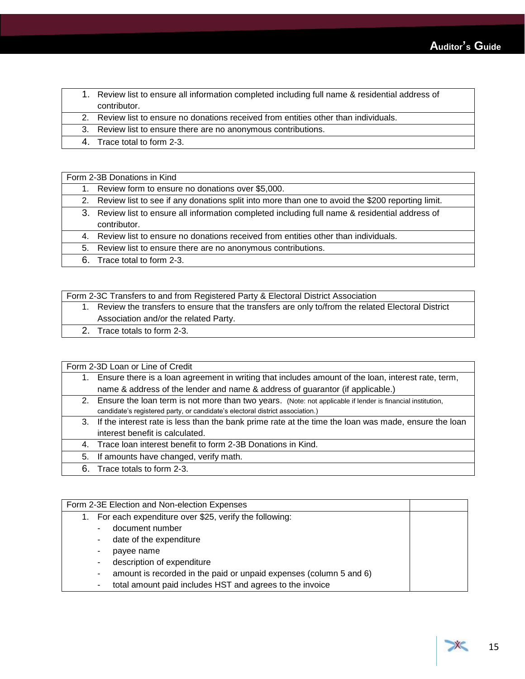| 1. Review list to ensure all information completed including full name & residential address of |
|-------------------------------------------------------------------------------------------------|
| contributor.                                                                                    |

2. Review list to ensure no donations received from entities other than individuals.

- 3. Review list to ensure there are no anonymous contributions.
- 4. Trace total to form 2-3.

| Form 2-3B Donations in Kind |                                                                                                     |  |  |
|-----------------------------|-----------------------------------------------------------------------------------------------------|--|--|
|                             | 1. Review form to ensure no donations over \$5,000.                                                 |  |  |
|                             | 2. Review list to see if any donations split into more than one to avoid the \$200 reporting limit. |  |  |
|                             | 3. Review list to ensure all information completed including full name & residential address of     |  |  |
|                             | contributor.                                                                                        |  |  |
|                             | 4. Review list to ensure no donations received from entities other than individuals.                |  |  |
|                             | 5. Review list to ensure there are no anonymous contributions.                                      |  |  |
|                             | 6. Trace total to form 2-3.                                                                         |  |  |

Form 2-3C Transfers to and from Registered Party & Electoral District Association

- 1. Review the transfers to ensure that the transfers are only to/from the related Electoral District Association and/or the related Party.
	- 2. Trace totals to form 2-3.

|    | Form 2-3D Loan or Line of Credit                                                                              |  |  |  |
|----|---------------------------------------------------------------------------------------------------------------|--|--|--|
| 1. | Ensure there is a loan agreement in writing that includes amount of the loan, interest rate, term,            |  |  |  |
|    | name & address of the lender and name & address of guarantor (if applicable.)                                 |  |  |  |
|    | 2. Ensure the loan term is not more than two years. (Note: not applicable if lender is financial institution, |  |  |  |
|    | candidate's registered party, or candidate's electoral district association.)                                 |  |  |  |
|    | 3. If the interest rate is less than the bank prime rate at the time the loan was made, ensure the loan       |  |  |  |
|    | interest benefit is calculated.                                                                               |  |  |  |
| 4. | Trace loan interest benefit to form 2-3B Donations in Kind.                                                   |  |  |  |
| 5. | If amounts have changed, verify math.                                                                         |  |  |  |
|    | 6. Trace totals to form 2-3.                                                                                  |  |  |  |

| Form 2-3E Election and Non-election Expenses                                 |  |  |
|------------------------------------------------------------------------------|--|--|
| For each expenditure over \$25, verify the following:                        |  |  |
| document number                                                              |  |  |
| date of the expenditure                                                      |  |  |
| payee name                                                                   |  |  |
| description of expenditure                                                   |  |  |
| amount is recorded in the paid or unpaid expenses (column 5 and 6)<br>$\sim$ |  |  |
| total amount paid includes HST and agrees to the invoice                     |  |  |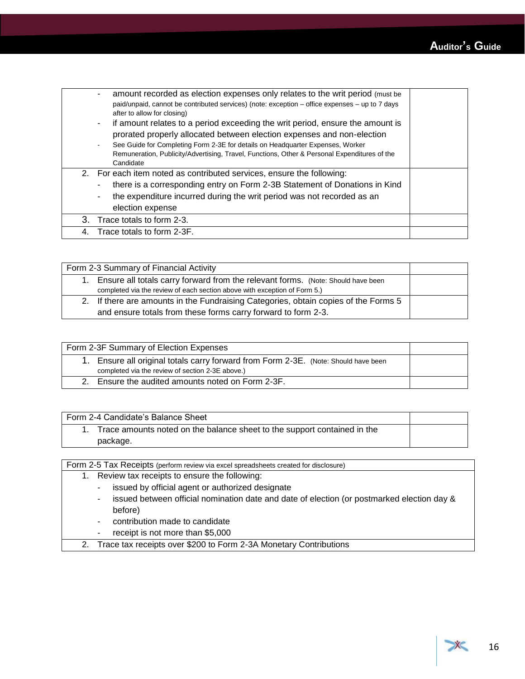|    | amount recorded as election expenses only relates to the writ period (must be<br>$\overline{\phantom{a}}$<br>paid/unpaid, cannot be contributed services) (note: exception – office expenses – up to 7 days<br>after to allow for closing)<br>if amount relates to a period exceeding the writ period, ensure the amount is<br>۰<br>prorated properly allocated between election expenses and non-election<br>See Guide for Completing Form 2-3E for details on Headquarter Expenses, Worker<br>$\overline{\phantom{a}}$<br>Remuneration, Publicity/Advertising, Travel, Functions, Other & Personal Expenditures of the<br>Candidate |  |
|----|---------------------------------------------------------------------------------------------------------------------------------------------------------------------------------------------------------------------------------------------------------------------------------------------------------------------------------------------------------------------------------------------------------------------------------------------------------------------------------------------------------------------------------------------------------------------------------------------------------------------------------------|--|
|    | 2. For each item noted as contributed services, ensure the following:<br>there is a corresponding entry on Form 2-3B Statement of Donations in Kind<br>٠<br>the expenditure incurred during the writ period was not recorded as an<br>٠<br>election expense                                                                                                                                                                                                                                                                                                                                                                           |  |
|    | 3. Trace totals to form 2-3.                                                                                                                                                                                                                                                                                                                                                                                                                                                                                                                                                                                                          |  |
| 4. | Trace totals to form 2-3F.                                                                                                                                                                                                                                                                                                                                                                                                                                                                                                                                                                                                            |  |

| Form 2-3 Summary of Financial Activity |                                                                                                                                                               |  |
|----------------------------------------|---------------------------------------------------------------------------------------------------------------------------------------------------------------|--|
| 1.                                     | Ensure all totals carry forward from the relevant forms. (Note: Should have been<br>completed via the review of each section above with exception of Form 5.) |  |
|                                        | 2. If there are amounts in the Fundraising Categories, obtain copies of the Forms 5<br>and ensure totals from these forms carry forward to form 2-3.          |  |

| Form 2-3F Summary of Election Expenses                                                                                               |  |
|--------------------------------------------------------------------------------------------------------------------------------------|--|
| Ensure all original totals carry forward from Form 2-3E. (Note: Should have been<br>completed via the review of section 2-3E above.) |  |
|                                                                                                                                      |  |
| Ensure the audited amounts noted on Form 2-3F.                                                                                       |  |

| Form 2-4 Candidate's Balance Sheet                                       |  |
|--------------------------------------------------------------------------|--|
| Trace amounts noted on the balance sheet to the support contained in the |  |
| package.                                                                 |  |

Form 2-5 Tax Receipts (perform review via excel spreadsheets created for disclosure)

- 1. Review tax receipts to ensure the following:
	- issued by official agent or authorized designate
	- issued between official nomination date and date of election (or postmarked election day & before)
	- contribution made to candidate
	- receipt is not more than \$5,000
- 2. Trace tax receipts over \$200 to Form 2-3A Monetary Contributions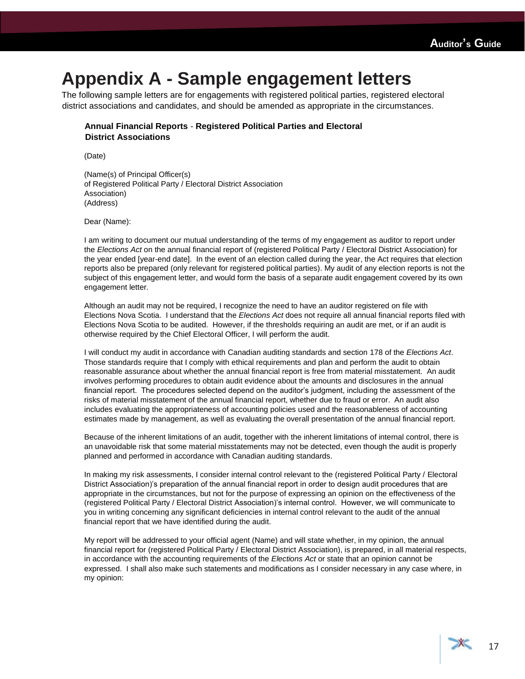## <span id="page-18-0"></span>**Appendix A - Sample engagement letters**

The following sample letters are for engagements with registered political parties, registered electoral district associations and candidates, and should be amended as appropriate in the circumstances.

### **Annual Financial Reports** - **Registered Political Parties and Electoral District Associations**

(Date)

(Name(s) of Principal Officer(s) of Registered Political Party / Electoral District Association Association) (Address)

Dear (Name):

I am writing to document our mutual understanding of the terms of my engagement as auditor to report under the *Elections Act* on the annual financial report of (registered Political Party / Electoral District Association) for the year ended [year-end date]. In the event of an election called during the year, the Act requires that election reports also be prepared (only relevant for registered political parties). My audit of any election reports is not the subject of this engagement letter, and would form the basis of a separate audit engagement covered by its own engagement letter.

Although an audit may not be required, I recognize the need to have an auditor registered on file with Elections Nova Scotia. I understand that the *Elections Act* does not require all annual financial reports filed with Elections Nova Scotia to be audited. However, if the thresholds requiring an audit are met, or if an audit is otherwise required by the Chief Electoral Officer, I will perform the audit.

I will conduct my audit in accordance with Canadian auditing standards and section 178 of the *Elections Act*. Those standards require that I comply with ethical requirements and plan and perform the audit to obtain reasonable assurance about whether the annual financial report is free from material misstatement. An audit involves performing procedures to obtain audit evidence about the amounts and disclosures in the annual financial report. The procedures selected depend on the auditor's judgment, including the assessment of the risks of material misstatement of the annual financial report, whether due to fraud or error. An audit also includes evaluating the appropriateness of accounting policies used and the reasonableness of accounting estimates made by management, as well as evaluating the overall presentation of the annual financial report.

Because of the inherent limitations of an audit, together with the inherent limitations of internal control, there is an unavoidable risk that some material misstatements may not be detected, even though the audit is properly planned and performed in accordance with Canadian auditing standards.

In making my risk assessments, I consider internal control relevant to the (registered Political Party / Electoral District Association)'s preparation of the annual financial report in order to design audit procedures that are appropriate in the circumstances, but not for the purpose of expressing an opinion on the effectiveness of the (registered Political Party / Electoral District Association)'s internal control. However, we will communicate to you in writing concerning any significant deficiencies in internal control relevant to the audit of the annual financial report that we have identified during the audit.

My report will be addressed to your official agent (Name) and will state whether, in my opinion, the annual financial report for (registered Political Party / Electoral District Association), is prepared, in all material respects, in accordance with the accounting requirements of the *Elections Act* or state that an opinion cannot be expressed. I shall also make such statements and modifications as I consider necessary in any case where, in my opinion: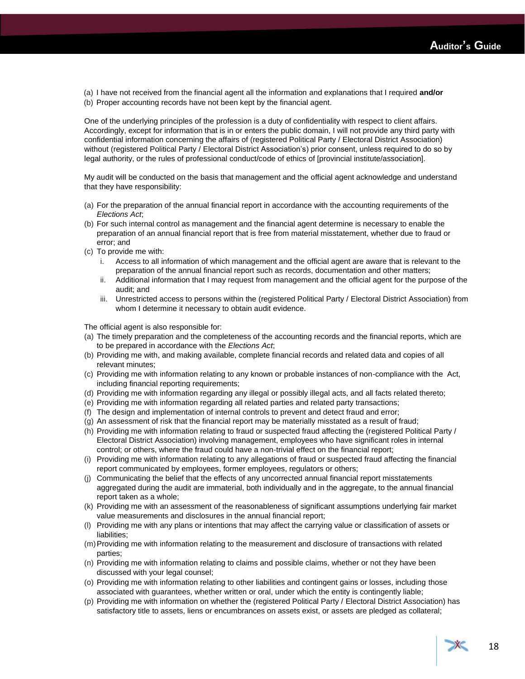(a) I have not received from the financial agent all the information and explanations that I required **and/or** (b) Proper accounting records have not been kept by the financial agent.

One of the underlying principles of the profession is a duty of confidentiality with respect to client affairs. Accordingly, except for information that is in or enters the public domain, I will not provide any third party with confidential information concerning the affairs of (registered Political Party / Electoral District Association) without (registered Political Party / Electoral District Association's) prior consent, unless required to do so by legal authority, or the rules of professional conduct/code of ethics of [provincial institute/association].

My audit will be conducted on the basis that management and the official agent acknowledge and understand that they have responsibility:

- (a) For the preparation of the annual financial report in accordance with the accounting requirements of the *Elections Act*;
- (b) For such internal control as management and the financial agent determine is necessary to enable the preparation of an annual financial report that is free from material misstatement, whether due to fraud or error; and
- (c) To provide me with:
	- i. Access to all information of which management and the official agent are aware that is relevant to the preparation of the annual financial report such as records, documentation and other matters;
	- ii. Additional information that I may request from management and the official agent for the purpose of the audit; and
	- iii. Unrestricted access to persons within the (registered Political Party / Electoral District Association) from whom I determine it necessary to obtain audit evidence.

The official agent is also responsible for:

- (a) The timely preparation and the completeness of the accounting records and the financial reports, which are to be prepared in accordance with the *Elections Act*;
- (b) Providing me with, and making available, complete financial records and related data and copies of all relevant minutes;
- (c) Providing me with information relating to any known or probable instances of non-compliance with the Act, including financial reporting requirements;
- (d) Providing me with information regarding any illegal or possibly illegal acts, and all facts related thereto;
- (e) Providing me with information regarding all related parties and related party transactions;
- (f) The design and implementation of internal controls to prevent and detect fraud and error;
- (g) An assessment of risk that the financial report may be materially misstated as a result of fraud;
- (h) Providing me with information relating to fraud or suspected fraud affecting the (registered Political Party / Electoral District Association) involving management, employees who have significant roles in internal control; or others, where the fraud could have a non-trivial effect on the financial report;
- (i) Providing me with information relating to any allegations of fraud or suspected fraud affecting the financial report communicated by employees, former employees, regulators or others;
- (j) Communicating the belief that the effects of any uncorrected annual financial report misstatements aggregated during the audit are immaterial, both individually and in the aggregate, to the annual financial report taken as a whole;
- (k) Providing me with an assessment of the reasonableness of significant assumptions underlying fair market value measurements and disclosures in the annual financial report;
- (l) Providing me with any plans or intentions that may affect the carrying value or classification of assets or liabilities;
- (m)Providing me with information relating to the measurement and disclosure of transactions with related parties;
- (n) Providing me with information relating to claims and possible claims, whether or not they have been discussed with your legal counsel;
- (o) Providing me with information relating to other liabilities and contingent gains or losses, including those associated with guarantees, whether written or oral, under which the entity is contingently liable;
- (p) Providing me with information on whether the (registered Political Party / Electoral District Association) has satisfactory title to assets, liens or encumbrances on assets exist, or assets are pledged as collateral;

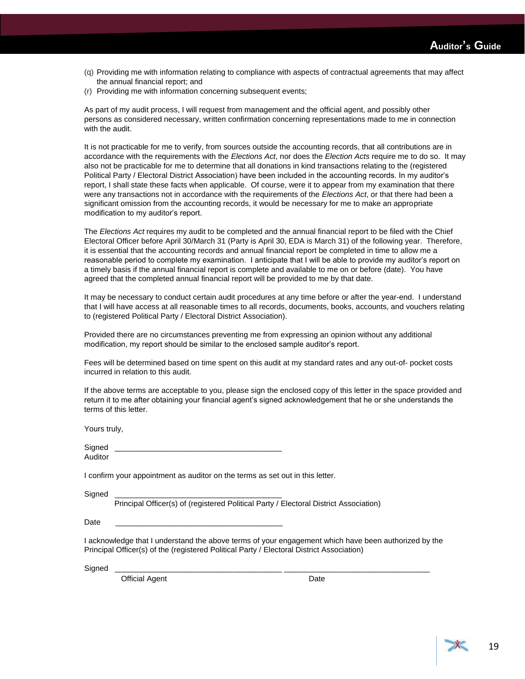- (q) Providing me with information relating to compliance with aspects of contractual agreements that may affect the annual financial report; and
- (r) Providing me with information concerning subsequent events;

As part of my audit process, I will request from management and the official agent, and possibly other persons as considered necessary, written confirmation concerning representations made to me in connection with the audit.

It is not practicable for me to verify, from sources outside the accounting records, that all contributions are in accordance with the requirements with the *Elections Act*, nor does the *Election Acts* require me to do so. It may also not be practicable for me to determine that all donations in kind transactions relating to the (registered Political Party / Electoral District Association) have been included in the accounting records. In my auditor's report, I shall state these facts when applicable. Of course, were it to appear from my examination that there were any transactions not in accordance with the requirements of the *Elections Act*, or that there had been a significant omission from the accounting records, it would be necessary for me to make an appropriate modification to my auditor's report.

The *Elections Act* requires my audit to be completed and the annual financial report to be filed with the Chief Electoral Officer before April 30/March 31 (Party is April 30, EDA is March 31) of the following year. Therefore, it is essential that the accounting records and annual financial report be completed in time to allow me a reasonable period to complete my examination. I anticipate that I will be able to provide my auditor's report on a timely basis if the annual financial report is complete and available to me on or before (date). You have agreed that the completed annual financial report will be provided to me by that date.

It may be necessary to conduct certain audit procedures at any time before or after the year-end. I understand that I will have access at all reasonable times to all records, documents, books, accounts, and vouchers relating to (registered Political Party / Electoral District Association).

Provided there are no circumstances preventing me from expressing an opinion without any additional modification, my report should be similar to the enclosed sample auditor's report.

Fees will be determined based on time spent on this audit at my standard rates and any out-of- pocket costs incurred in relation to this audit.

If the above terms are acceptable to you, please sign the enclosed copy of this letter in the space provided and return it to me after obtaining your financial agent's signed acknowledgement that he or she understands the terms of this letter.

Yours truly,

| Signed  |  |
|---------|--|
| Auditor |  |

I confirm your appointment as auditor on the terms as set out in this letter.

Signed

Principal Officer(s) of (registered Political Party / Electoral District Association)

Date \_\_\_\_\_\_\_\_\_\_\_\_\_\_\_\_\_\_\_\_\_\_\_\_\_\_\_\_\_\_\_\_\_\_\_\_\_\_\_

I acknowledge that I understand the above terms of your engagement which have been authorized by the Principal Officer(s) of the (registered Political Party / Electoral District Association)

Signed \_\_\_\_\_\_\_\_\_\_\_\_\_\_\_\_\_\_\_\_\_\_\_\_\_\_\_\_\_\_\_\_\_\_\_\_\_\_\_ \_\_\_\_\_\_\_\_\_\_\_\_\_\_\_\_\_\_\_\_\_\_\_\_\_\_\_\_\_\_\_\_\_\_

Official Agent **Date**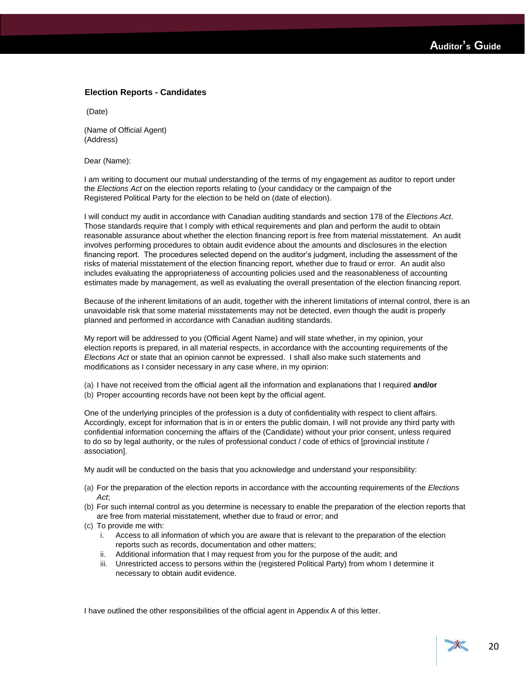### **Election Reports - Candidates**

(Date)

(Name of Official Agent) (Address)

Dear (Name):

I am writing to document our mutual understanding of the terms of my engagement as auditor to report under the *Elections Act* on the election reports relating to (your candidacy or the campaign of the Registered Political Party for the election to be held on (date of election).

I will conduct my audit in accordance with Canadian auditing standards and section 178 of the *Elections Act*. Those standards require that I comply with ethical requirements and plan and perform the audit to obtain reasonable assurance about whether the election financing report is free from material misstatement. An audit involves performing procedures to obtain audit evidence about the amounts and disclosures in the election financing report. The procedures selected depend on the auditor's judgment, including the assessment of the risks of material misstatement of the election financing report, whether due to fraud or error. An audit also includes evaluating the appropriateness of accounting policies used and the reasonableness of accounting estimates made by management, as well as evaluating the overall presentation of the election financing report.

Because of the inherent limitations of an audit, together with the inherent limitations of internal control, there is an unavoidable risk that some material misstatements may not be detected, even though the audit is properly planned and performed in accordance with Canadian auditing standards.

My report will be addressed to you (Official Agent Name) and will state whether, in my opinion, your election reports is prepared, in all material respects, in accordance with the accounting requirements of the *Elections Act* or state that an opinion cannot be expressed. I shall also make such statements and modifications as I consider necessary in any case where, in my opinion:

- (a) I have not received from the official agent all the information and explanations that I required **and/or**
- (b) Proper accounting records have not been kept by the official agent.

One of the underlying principles of the profession is a duty of confidentiality with respect to client affairs. Accordingly, except for information that is in or enters the public domain, I will not provide any third party with confidential information concerning the affairs of the (Candidate) without your prior consent, unless required to do so by legal authority, or the rules of professional conduct / code of ethics of [provincial institute / association].

My audit will be conducted on the basis that you acknowledge and understand your responsibility:

- (a) For the preparation of the election reports in accordance with the accounting requirements of the *Elections Act*;
- (b) For such internal control as you determine is necessary to enable the preparation of the election reports that are free from material misstatement, whether due to fraud or error; and
- (c) To provide me with:
	- i. Access to all information of which you are aware that is relevant to the preparation of the election reports such as records, documentation and other matters;
	- ii. Additional information that I may request from you for the purpose of the audit; and
	- iii. Unrestricted access to persons within the (registered Political Party) from whom I determine it necessary to obtain audit evidence.

I have outlined the other responsibilities of the official agent in Appendix A of this letter.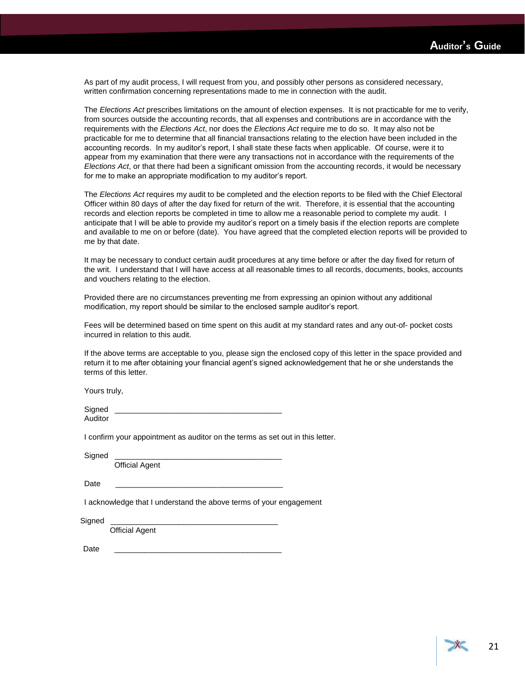As part of my audit process, I will request from you, and possibly other persons as considered necessary, written confirmation concerning representations made to me in connection with the audit.

The *Elections Act* prescribes limitations on the amount of election expenses. It is not practicable for me to verify, from sources outside the accounting records, that all expenses and contributions are in accordance with the requirements with the *Elections Act*, nor does the *Elections Act* require me to do so. It may also not be practicable for me to determine that all financial transactions relating to the election have been included in the accounting records. In my auditor's report, I shall state these facts when applicable. Of course, were it to appear from my examination that there were any transactions not in accordance with the requirements of the *Elections Act*, or that there had been a significant omission from the accounting records, it would be necessary for me to make an appropriate modification to my auditor's report.

The *Elections Act* requires my audit to be completed and the election reports to be filed with the Chief Electoral Officer within 80 days of after the day fixed for return of the writ. Therefore, it is essential that the accounting records and election reports be completed in time to allow me a reasonable period to complete my audit. I anticipate that I will be able to provide my auditor's report on a timely basis if the election reports are complete and available to me on or before (date). You have agreed that the completed election reports will be provided to me by that date.

It may be necessary to conduct certain audit procedures at any time before or after the day fixed for return of the writ. I understand that I will have access at all reasonable times to all records, documents, books, accounts and vouchers relating to the election.

Provided there are no circumstances preventing me from expressing an opinion without any additional modification, my report should be similar to the enclosed sample auditor's report.

Fees will be determined based on time spent on this audit at my standard rates and any out-of- pocket costs incurred in relation to this audit.

If the above terms are acceptable to you, please sign the enclosed copy of this letter in the space provided and return it to me after obtaining your financial agent's signed acknowledgement that he or she understands the terms of this letter.

Yours truly,

Signed Auditor

I confirm your appointment as auditor on the terms as set out in this letter.

Signed

Official Agent

Date \_\_\_\_\_\_\_\_\_\_\_\_\_\_\_\_\_\_\_\_\_\_\_\_\_\_\_\_\_\_\_\_\_\_\_\_\_\_\_

I acknowledge that I understand the above terms of your engagement

Sianed

Official Agent

Date \_\_\_\_\_\_\_\_\_\_\_\_\_\_\_\_\_\_\_\_\_\_\_\_\_\_\_\_\_\_\_\_\_\_\_\_\_\_\_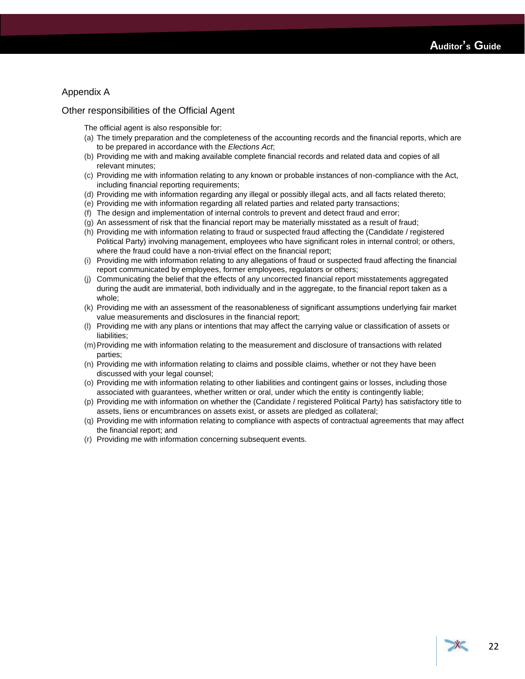### Appendix A

### Other responsibilities of the Official Agent

The official agent is also responsible for:

- (a) The timely preparation and the completeness of the accounting records and the financial reports, which are to be prepared in accordance with the *Elections Act*;
- (b) Providing me with and making available complete financial records and related data and copies of all relevant minutes;
- (c) Providing me with information relating to any known or probable instances of non-compliance with the Act, including financial reporting requirements;
- (d) Providing me with information regarding any illegal or possibly illegal acts, and all facts related thereto;
- (e) Providing me with information regarding all related parties and related party transactions;
- (f) The design and implementation of internal controls to prevent and detect fraud and error;
- (g) An assessment of risk that the financial report may be materially misstated as a result of fraud;
- (h) Providing me with information relating to fraud or suspected fraud affecting the (Candidate / registered Political Party) involving management, employees who have significant roles in internal control; or others, where the fraud could have a non-trivial effect on the financial report;
- (i) Providing me with information relating to any allegations of fraud or suspected fraud affecting the financial report communicated by employees, former employees, regulators or others;
- (j) Communicating the belief that the effects of any uncorrected financial report misstatements aggregated during the audit are immaterial, both individually and in the aggregate, to the financial report taken as a whole;
- (k) Providing me with an assessment of the reasonableness of significant assumptions underlying fair market value measurements and disclosures in the financial report;
- (l) Providing me with any plans or intentions that may affect the carrying value or classification of assets or liabilities;
- (m)Providing me with information relating to the measurement and disclosure of transactions with related parties;
- (n) Providing me with information relating to claims and possible claims, whether or not they have been discussed with your legal counsel;
- (o) Providing me with information relating to other liabilities and contingent gains or losses, including those associated with guarantees, whether written or oral, under which the entity is contingently liable;
- (p) Providing me with information on whether the (Candidate / registered Political Party) has satisfactory title to assets, liens or encumbrances on assets exist, or assets are pledged as collateral;
- (q) Providing me with information relating to compliance with aspects of contractual agreements that may affect the financial report; and
- (r) Providing me with information concerning subsequent events.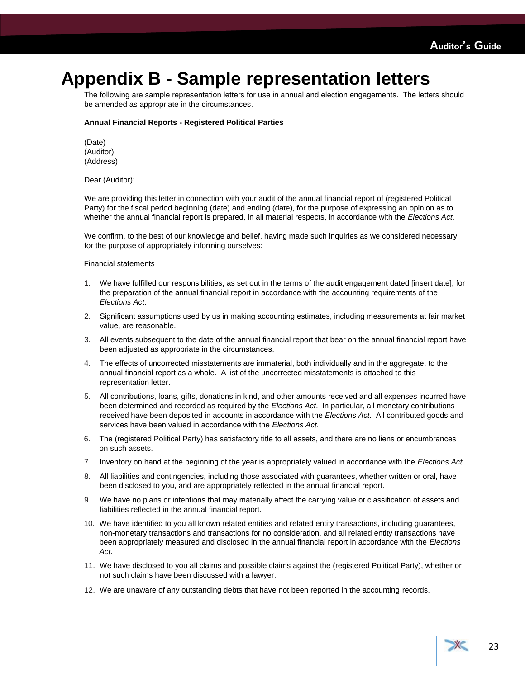### <span id="page-24-0"></span>**Appendix B - Sample representation letters**

The following are sample representation letters for use in annual and election engagements. The letters should be amended as appropriate in the circumstances.

### **Annual Financial Reports - Registered Political Parties**

(Date) (Auditor) (Address)

Dear (Auditor):

We are providing this letter in connection with your audit of the annual financial report of (registered Political Party) for the fiscal period beginning (date) and ending (date), for the purpose of expressing an opinion as to whether the annual financial report is prepared, in all material respects, in accordance with the *Elections Act*.

We confirm, to the best of our knowledge and belief, having made such inquiries as we considered necessary for the purpose of appropriately informing ourselves:

Financial statements

- 1. We have fulfilled our responsibilities, as set out in the terms of the audit engagement dated [insert date], for the preparation of the annual financial report in accordance with the accounting requirements of the *Elections Act*.
- 2. Significant assumptions used by us in making accounting estimates, including measurements at fair market value, are reasonable.
- 3. All events subsequent to the date of the annual financial report that bear on the annual financial report have been adjusted as appropriate in the circumstances.
- 4. The effects of uncorrected misstatements are immaterial, both individually and in the aggregate, to the annual financial report as a whole. A list of the uncorrected misstatements is attached to this representation letter.
- 5. All contributions, loans, gifts, donations in kind, and other amounts received and all expenses incurred have been determined and recorded as required by the *Elections Act*. In particular, all monetary contributions received have been deposited in accounts in accordance with the *Elections Act*. All contributed goods and services have been valued in accordance with the *Elections Act*.
- 6. The (registered Political Party) has satisfactory title to all assets, and there are no liens or encumbrances on such assets.
- 7. Inventory on hand at the beginning of the year is appropriately valued in accordance with the *Elections Act*.
- 8. All liabilities and contingencies, including those associated with guarantees, whether written or oral, have been disclosed to you, and are appropriately reflected in the annual financial report.
- 9. We have no plans or intentions that may materially affect the carrying value or classification of assets and liabilities reflected in the annual financial report.
- 10. We have identified to you all known related entities and related entity transactions, including guarantees, non-monetary transactions and transactions for no consideration, and all related entity transactions have been appropriately measured and disclosed in the annual financial report in accordance with the *Elections Act*.
- 11. We have disclosed to you all claims and possible claims against the (registered Political Party), whether or not such claims have been discussed with a lawyer.
- 12. We are unaware of any outstanding debts that have not been reported in the accounting records.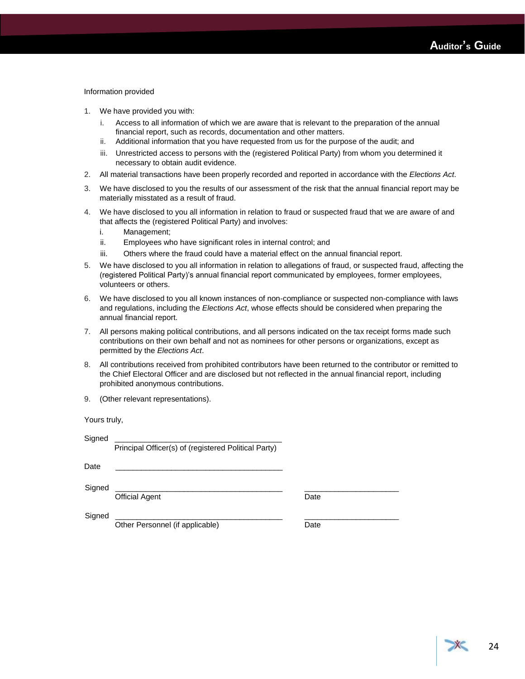#### Information provided

- 1. We have provided you with:
	- i. Access to all information of which we are aware that is relevant to the preparation of the annual financial report, such as records, documentation and other matters.
	- ii. Additional information that you have requested from us for the purpose of the audit; and
	- iii. Unrestricted access to persons with the (registered Political Party) from whom you determined it necessary to obtain audit evidence.
- 2. All material transactions have been properly recorded and reported in accordance with the *Elections Act*.
- 3. We have disclosed to you the results of our assessment of the risk that the annual financial report may be materially misstated as a result of fraud.
- 4. We have disclosed to you all information in relation to fraud or suspected fraud that we are aware of and that affects the (registered Political Party) and involves:
	- i. Management;
	- ii. Employees who have significant roles in internal control; and
	- iii. Others where the fraud could have a material effect on the annual financial report.
- 5. We have disclosed to you all information in relation to allegations of fraud, or suspected fraud, affecting the (registered Political Party)'s annual financial report communicated by employees, former employees, volunteers or others.
- 6. We have disclosed to you all known instances of non-compliance or suspected non-compliance with laws and regulations, including the *Elections Act*, whose effects should be considered when preparing the annual financial report.
- 7. All persons making political contributions, and all persons indicated on the tax receipt forms made such contributions on their own behalf and not as nominees for other persons or organizations, except as permitted by the *Elections Act*.
- 8. All contributions received from prohibited contributors have been returned to the contributor or remitted to the Chief Electoral Officer and are disclosed but not reflected in the annual financial report, including prohibited anonymous contributions.
- 9. (Other relevant representations).

Yours truly,

| Signed |                                                      |      |  |
|--------|------------------------------------------------------|------|--|
|        | Principal Officer(s) of (registered Political Party) |      |  |
| Date   |                                                      |      |  |
| Signed | <b>Official Agent</b>                                | Date |  |
| Signed | Other Personnel (if applicable)                      | Date |  |
|        |                                                      |      |  |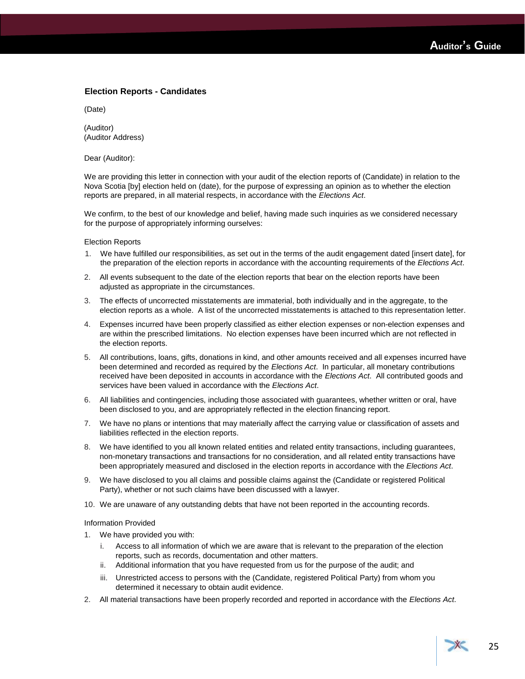### **Election Reports - Candidates**

(Date)

(Auditor) (Auditor Address)

Dear (Auditor):

We are providing this letter in connection with your audit of the election reports of (Candidate) in relation to the Nova Scotia [by] election held on (date), for the purpose of expressing an opinion as to whether the election reports are prepared, in all material respects, in accordance with the *Elections Act*.

We confirm, to the best of our knowledge and belief, having made such inquiries as we considered necessary for the purpose of appropriately informing ourselves:

#### Election Reports

- 1. We have fulfilled our responsibilities, as set out in the terms of the audit engagement dated [insert date], for the preparation of the election reports in accordance with the accounting requirements of the *Elections Act*.
- 2. All events subsequent to the date of the election reports that bear on the election reports have been adjusted as appropriate in the circumstances.
- 3. The effects of uncorrected misstatements are immaterial, both individually and in the aggregate, to the election reports as a whole. A list of the uncorrected misstatements is attached to this representation letter.
- 4. Expenses incurred have been properly classified as either election expenses or non-election expenses and are within the prescribed limitations. No election expenses have been incurred which are not reflected in the election reports.
- 5. All contributions, loans, gifts, donations in kind, and other amounts received and all expenses incurred have been determined and recorded as required by the *Elections Act*. In particular, all monetary contributions received have been deposited in accounts in accordance with the *Elections Act*. All contributed goods and services have been valued in accordance with the *Elections Act*.
- 6. All liabilities and contingencies, including those associated with guarantees, whether written or oral, have been disclosed to you, and are appropriately reflected in the election financing report.
- 7. We have no plans or intentions that may materially affect the carrying value or classification of assets and liabilities reflected in the election reports.
- 8. We have identified to you all known related entities and related entity transactions, including guarantees, non-monetary transactions and transactions for no consideration, and all related entity transactions have been appropriately measured and disclosed in the election reports in accordance with the *Elections Act*.
- 9. We have disclosed to you all claims and possible claims against the (Candidate or registered Political Party), whether or not such claims have been discussed with a lawyer.
- 10. We are unaware of any outstanding debts that have not been reported in the accounting records.

#### Information Provided

- 1. We have provided you with:
	- i. Access to all information of which we are aware that is relevant to the preparation of the election reports, such as records, documentation and other matters.
	- ii. Additional information that you have requested from us for the purpose of the audit; and
	- iii. Unrestricted access to persons with the (Candidate, registered Political Party) from whom you determined it necessary to obtain audit evidence.
- 2. All material transactions have been properly recorded and reported in accordance with the *Elections Act*.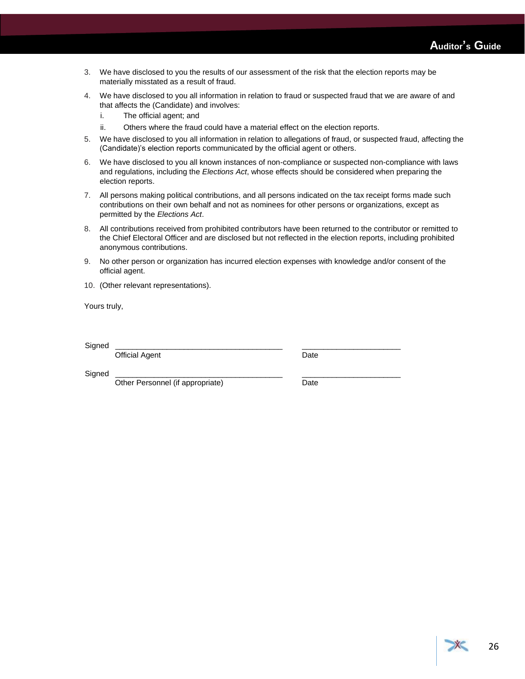- 3. We have disclosed to you the results of our assessment of the risk that the election reports may be materially misstated as a result of fraud.
- 4. We have disclosed to you all information in relation to fraud or suspected fraud that we are aware of and that affects the (Candidate) and involves:
	- i. The official agent; and
	- ii. Others where the fraud could have a material effect on the election reports.
- 5. We have disclosed to you all information in relation to allegations of fraud, or suspected fraud, affecting the (Candidate)'s election reports communicated by the official agent or others.
- 6. We have disclosed to you all known instances of non-compliance or suspected non-compliance with laws and regulations, including the *Elections Act*, whose effects should be considered when preparing the election reports.
- 7. All persons making political contributions, and all persons indicated on the tax receipt forms made such contributions on their own behalf and not as nominees for other persons or organizations, except as permitted by the *Elections Act*.
- 8. All contributions received from prohibited contributors have been returned to the contributor or remitted to the Chief Electoral Officer and are disclosed but not reflected in the election reports, including prohibited anonymous contributions.
- 9. No other person or organization has incurred election expenses with knowledge and/or consent of the official agent.
- 10. (Other relevant representations).

Yours truly,

Signed \_\_\_\_\_\_\_\_\_\_\_\_\_\_\_\_\_\_\_\_\_\_\_\_\_\_\_\_\_\_\_\_\_\_\_\_\_\_\_ \_\_\_\_\_\_\_\_\_\_\_\_\_\_\_\_\_\_\_\_\_\_\_

Official Agent **Date** 

Signed \_\_\_\_\_\_\_\_\_\_\_\_\_\_\_\_\_\_\_\_\_\_\_\_\_\_\_\_\_\_\_\_\_\_\_\_\_\_\_ \_\_\_\_\_\_\_\_\_\_\_\_\_\_\_\_\_\_\_\_\_\_\_

Other Personnel (if appropriate) Date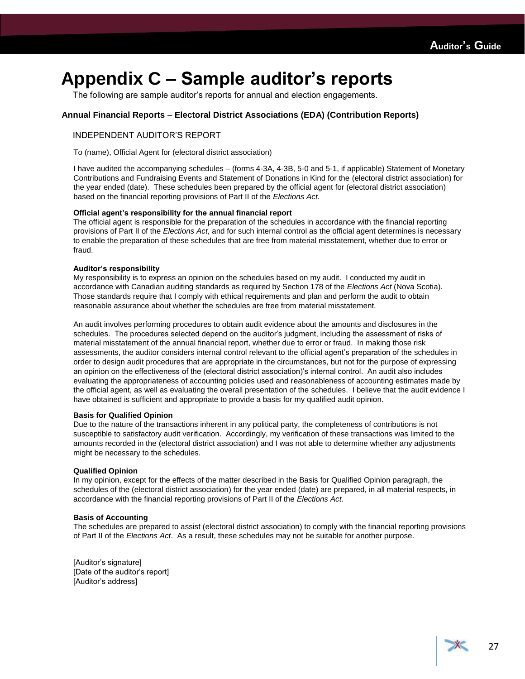### <span id="page-28-0"></span>**Appendix C – Sample auditor's reports**

The following are sample auditor's reports for annual and election engagements.

### **Annual Financial Reports** – **Electoral District Associations (EDA) (Contribution Reports)**

### INDEPENDENT AUDITOR'S REPORT

To (name), Official Agent for (electoral district association)

I have audited the accompanying schedules – (forms 4-3A, 4-3B, 5-0 and 5-1, if applicable) Statement of Monetary Contributions and Fundraising Events and Statement of Donations in Kind for the (electoral district association) for the year ended (date). These schedules been prepared by the official agent for (electoral district association) based on the financial reporting provisions of Part II of the *Elections Act*.

### **Official agent's responsibility for the annual financial report**

The official agent is responsible for the preparation of the schedules in accordance with the financial reporting provisions of Part II of the *Elections Act*, and for such internal control as the official agent determines is necessary to enable the preparation of these schedules that are free from material misstatement, whether due to error or fraud.

### **Auditor's responsibility**

My responsibility is to express an opinion on the schedules based on my audit. I conducted my audit in accordance with Canadian auditing standards as required by Section 178 of the *Elections Act* (Nova Scotia). Those standards require that I comply with ethical requirements and plan and perform the audit to obtain reasonable assurance about whether the schedules are free from material misstatement.

An audit involves performing procedures to obtain audit evidence about the amounts and disclosures in the schedules. The procedures selected depend on the auditor's judgment, including the assessment of risks of material misstatement of the annual financial report, whether due to error or fraud. In making those risk assessments, the auditor considers internal control relevant to the official agent's preparation of the schedules in order to design audit procedures that are appropriate in the circumstances, but not for the purpose of expressing an opinion on the effectiveness of the (electoral district association)'s internal control. An audit also includes evaluating the appropriateness of accounting policies used and reasonableness of accounting estimates made by the official agent, as well as evaluating the overall presentation of the schedules. I believe that the audit evidence I have obtained is sufficient and appropriate to provide a basis for my qualified audit opinion.

### **Basis for Qualified Opinion**

Due to the nature of the transactions inherent in any political party, the completeness of contributions is not susceptible to satisfactory audit verification. Accordingly, my verification of these transactions was limited to the amounts recorded in the (electoral district association) and I was not able to determine whether any adjustments might be necessary to the schedules.

#### **Qualified Opinion**

In my opinion, except for the effects of the matter described in the Basis for Qualified Opinion paragraph, the schedules of the (electoral district association) for the year ended (date) are prepared, in all material respects, in accordance with the financial reporting provisions of Part II of the *Elections Act*.

#### **Basis of Accounting**

The schedules are prepared to assist (electoral district association) to comply with the financial reporting provisions of Part II of the *Elections Act*. As a result, these schedules may not be suitable for another purpose.

[Auditor's signature] [Date of the auditor's report] [Auditor's address]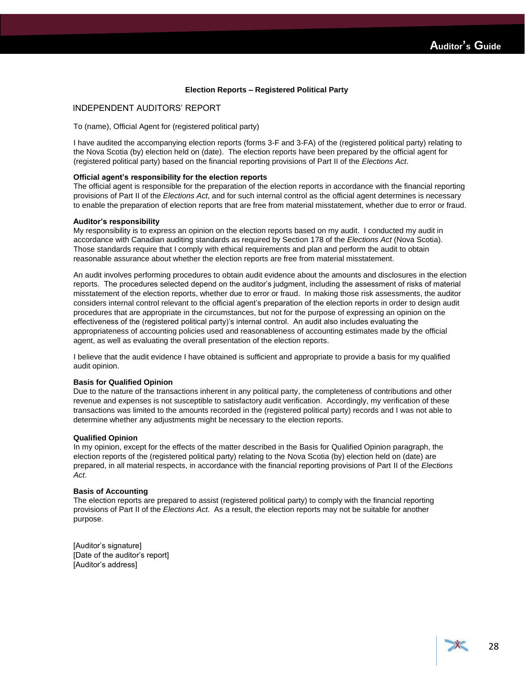### **Election Reports – Registered Political Party**

### INDEPENDENT AUDITORS' REPORT

To (name), Official Agent for (registered political party)

I have audited the accompanying election reports (forms 3-F and 3-FA) of the (registered political party) relating to the Nova Scotia (by) election held on (date). The election reports have been prepared by the official agent for (registered political party) based on the financial reporting provisions of Part II of the *Elections Act*.

#### **Official agent's responsibility for the election reports**

The official agent is responsible for the preparation of the election reports in accordance with the financial reporting provisions of Part II of the *Elections Act*, and for such internal control as the official agent determines is necessary to enable the preparation of election reports that are free from material misstatement, whether due to error or fraud.

#### **Auditor's responsibility**

My responsibility is to express an opinion on the election reports based on my audit. I conducted my audit in accordance with Canadian auditing standards as required by Section 178 of the *Elections Act* (Nova Scotia). Those standards require that I comply with ethical requirements and plan and perform the audit to obtain reasonable assurance about whether the election reports are free from material misstatement.

An audit involves performing procedures to obtain audit evidence about the amounts and disclosures in the election reports. The procedures selected depend on the auditor's judgment, including the assessment of risks of material misstatement of the election reports, whether due to error or fraud. In making those risk assessments, the auditor considers internal control relevant to the official agent's preparation of the election reports in order to design audit procedures that are appropriate in the circumstances, but not for the purpose of expressing an opinion on the effectiveness of the (registered political party)'s internal control. An audit also includes evaluating the appropriateness of accounting policies used and reasonableness of accounting estimates made by the official agent, as well as evaluating the overall presentation of the election reports.

I believe that the audit evidence I have obtained is sufficient and appropriate to provide a basis for my qualified audit opinion.

#### **Basis for Qualified Opinion**

Due to the nature of the transactions inherent in any political party, the completeness of contributions and other revenue and expenses is not susceptible to satisfactory audit verification. Accordingly, my verification of these transactions was limited to the amounts recorded in the (registered political party) records and I was not able to determine whether any adjustments might be necessary to the election reports.

### **Qualified Opinion**

In my opinion, except for the effects of the matter described in the Basis for Qualified Opinion paragraph, the election reports of the (registered political party) relating to the Nova Scotia (by) election held on (date) are prepared, in all material respects, in accordance with the financial reporting provisions of Part II of the *Elections Act*.

#### **Basis of Accounting**

The election reports are prepared to assist (registered political party) to comply with the financial reporting provisions of Part II of the *Elections Act*. As a result, the election reports may not be suitable for another purpose.

[Auditor's signature] [Date of the auditor's report] [Auditor's address]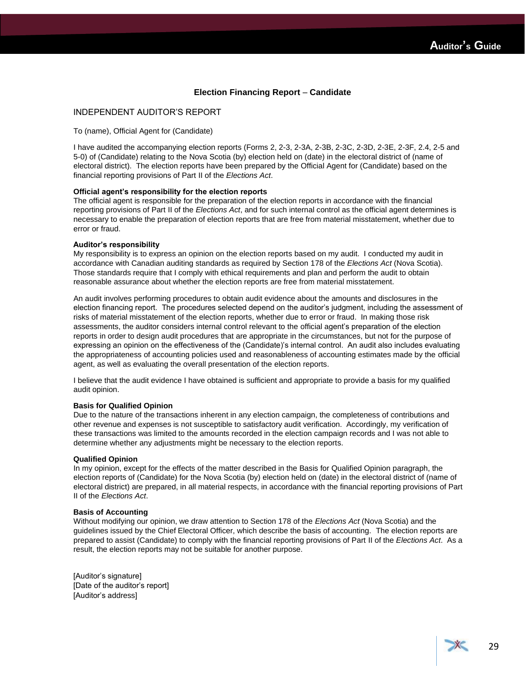### **Election Financing Report** – **Candidate**

### INDEPENDENT AUDITOR'S REPORT

To (name), Official Agent for (Candidate)

I have audited the accompanying election reports (Forms 2, 2-3, 2-3A, 2-3B, 2-3C, 2-3D, 2-3E, 2-3F, 2.4, 2-5 and 5-0) of (Candidate) relating to the Nova Scotia (by) election held on (date) in the electoral district of (name of electoral district). The election reports have been prepared by the Official Agent for (Candidate) based on the financial reporting provisions of Part II of the *Elections Act*.

#### **Official agent's responsibility for the election reports**

The official agent is responsible for the preparation of the election reports in accordance with the financial reporting provisions of Part II of the *Elections Act*, and for such internal control as the official agent determines is necessary to enable the preparation of election reports that are free from material misstatement, whether due to error or fraud.

### **Auditor's responsibility**

My responsibility is to express an opinion on the election reports based on my audit. I conducted my audit in accordance with Canadian auditing standards as required by Section 178 of the *Elections Act* (Nova Scotia). Those standards require that I comply with ethical requirements and plan and perform the audit to obtain reasonable assurance about whether the election reports are free from material misstatement.

An audit involves performing procedures to obtain audit evidence about the amounts and disclosures in the election financing report. The procedures selected depend on the auditor's judgment, including the assessment of risks of material misstatement of the election reports, whether due to error or fraud. In making those risk assessments, the auditor considers internal control relevant to the official agent's preparation of the election reports in order to design audit procedures that are appropriate in the circumstances, but not for the purpose of expressing an opinion on the effectiveness of the (Candidate)'s internal control. An audit also includes evaluating the appropriateness of accounting policies used and reasonableness of accounting estimates made by the official agent, as well as evaluating the overall presentation of the election reports.

I believe that the audit evidence I have obtained is sufficient and appropriate to provide a basis for my qualified audit opinion.

### **Basis for Qualified Opinion**

Due to the nature of the transactions inherent in any election campaign, the completeness of contributions and other revenue and expenses is not susceptible to satisfactory audit verification. Accordingly, my verification of these transactions was limited to the amounts recorded in the election campaign records and I was not able to determine whether any adjustments might be necessary to the election reports.

#### **Qualified Opinion**

In my opinion, except for the effects of the matter described in the Basis for Qualified Opinion paragraph, the election reports of (Candidate) for the Nova Scotia (by) election held on (date) in the electoral district of (name of electoral district) are prepared, in all material respects, in accordance with the financial reporting provisions of Part II of the *Elections Act*.

### **Basis of Accounting**

Without modifying our opinion, we draw attention to Section 178 of the *Elections Act* (Nova Scotia) and the guidelines issued by the Chief Electoral Officer, which describe the basis of accounting. The election reports are prepared to assist (Candidate) to comply with the financial reporting provisions of Part II of the *Elections Act*. As a result, the election reports may not be suitable for another purpose.

[Auditor's signature] [Date of the auditor's report] [Auditor's address]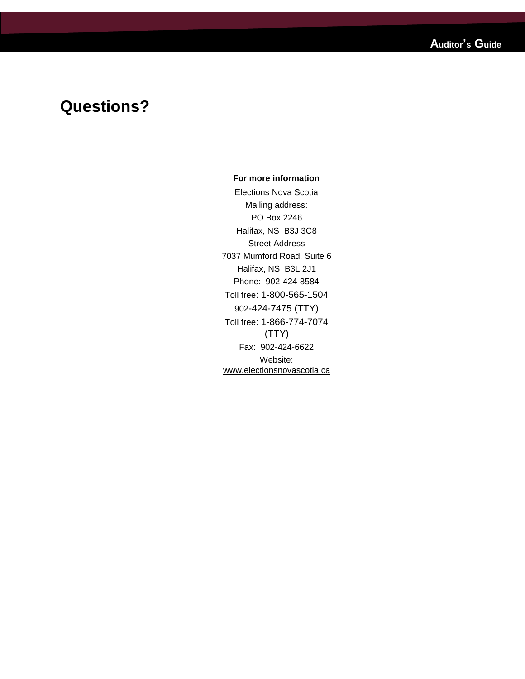### **Questions?**

### **For more information**

Elections Nova Scotia Mailing address: PO Box 2246 Halifax, NS B3J 3C8 Street Address 7037 Mumford Road, Suite 6 Halifax, NS B3L 2J1 Phone: 902-424-8584 Toll free: 1-800-565-1504 902-424-7475 (TTY) Toll free: 1-866-774-7074 (TTY) Fax: 902-424-6622 Website: [www.electionsnovascotia.ca](http://www.electionsnovascotia.ca/)